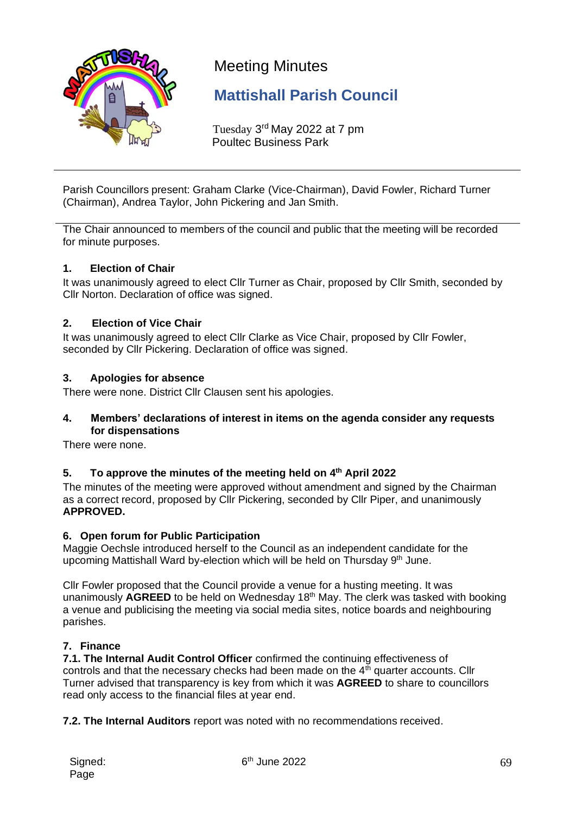

# Meeting Minutes

# **Mattishall Parish Council**

Tuesday 3<sup>rd</sup> May 2022 at 7 pm Poultec Business Park

Parish Councillors present: Graham Clarke (Vice-Chairman), David Fowler, Richard Turner (Chairman), Andrea Taylor, John Pickering and Jan Smith.

The Chair announced to members of the council and public that the meeting will be recorded for minute purposes.

# **1. Election of Chair**

It was unanimously agreed to elect Cllr Turner as Chair, proposed by Cllr Smith, seconded by Cllr Norton. Declaration of office was signed.

# **2. Election of Vice Chair**

It was unanimously agreed to elect Cllr Clarke as Vice Chair, proposed by Cllr Fowler, seconded by Cllr Pickering. Declaration of office was signed.

# **3. Apologies for absence**

There were none. District Cllr Clausen sent his apologies.

## **4. Members' declarations of interest in items on the agenda consider any requests for dispensations**

There were none.

# **5. To approve the minutes of the meeting held on 4 th April 2022**

The minutes of the meeting were approved without amendment and signed by the Chairman as a correct record, proposed by Cllr Pickering, seconded by Cllr Piper, and unanimously **APPROVED.**

## **6. Open forum for Public Participation**

Maggie Oechsle introduced herself to the Council as an independent candidate for the upcoming Mattishall Ward by-election which will be held on Thursday 9<sup>th</sup> June.

Cllr Fowler proposed that the Council provide a venue for a husting meeting. It was unanimously **AGREED** to be held on Wednesday 18<sup>th</sup> May. The clerk was tasked with booking a venue and publicising the meeting via social media sites, notice boards and neighbouring parishes.

## **7. Finance**

**7.1. The Internal Audit Control Officer** confirmed the continuing effectiveness of controls and that the necessary checks had been made on the  $4<sup>th</sup>$  quarter accounts. Cllr Turner advised that transparency is key from which it was **AGREED** to share to councillors read only access to the financial files at year end.

**7.2. The Internal Auditors** report was noted with no recommendations received.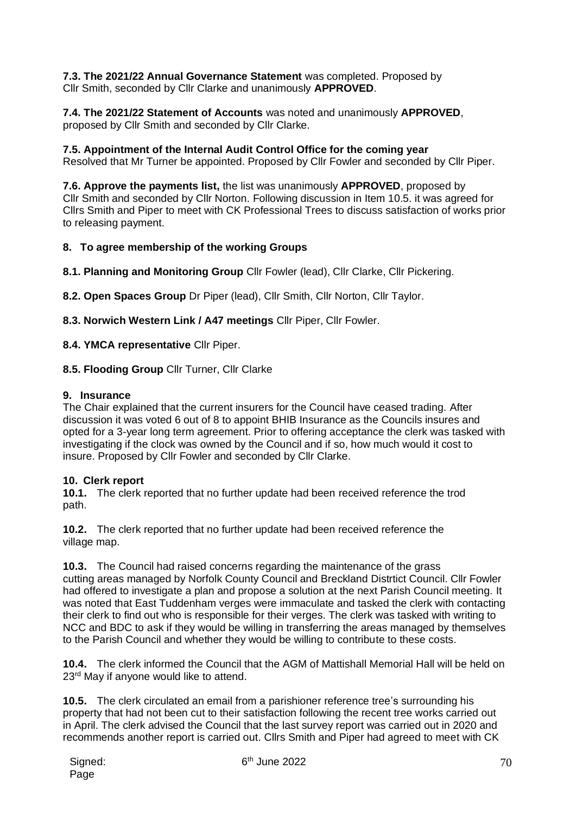**7.3. The 2021/22 Annual Governance Statement** was completed. Proposed by Cllr Smith, seconded by Cllr Clarke and unanimously **APPROVED**.

**7.4. The 2021/22 Statement of Accounts** was noted and unanimously **APPROVED**, proposed by Cllr Smith and seconded by Cllr Clarke.

**7.5. Appointment of the Internal Audit Control Office for the coming year** Resolved that Mr Turner be appointed. Proposed by Cllr Fowler and seconded by Cllr Piper.

**7.6. Approve the payments list,** the list was unanimously **APPROVED**, proposed by Cllr Smith and seconded by Cllr Norton. Following discussion in Item 10.5. it was agreed for Cllrs Smith and Piper to meet with CK Professional Trees to discuss satisfaction of works prior to releasing payment.

# **8. To agree membership of the working Groups**

**8.1. Planning and Monitoring Group** Cllr Fowler (lead), Cllr Clarke, Cllr Pickering.

**8.2. Open Spaces Group** Dr Piper (lead), Cllr Smith, Cllr Norton, Cllr Taylor.

**8.3. Norwich Western Link / A47 meetings** Cllr Piper, Cllr Fowler.

**8.4. YMCA representative** Cllr Piper.

**8.5. Flooding Group** Cllr Turner, Cllr Clarke

#### **9. Insurance**

The Chair explained that the current insurers for the Council have ceased trading. After discussion it was voted 6 out of 8 to appoint BHIB Insurance as the Councils insures and opted for a 3-year long term agreement. Prior to offering acceptance the clerk was tasked with investigating if the clock was owned by the Council and if so, how much would it cost to insure. Proposed by Cllr Fowler and seconded by Cllr Clarke.

## **10. Clerk report**

**10.1.** The clerk reported that no further update had been received reference the trod path.

**10.2.** The clerk reported that no further update had been received reference the village map.

**10.3.** The Council had raised concerns regarding the maintenance of the grass cutting areas managed by Norfolk County Council and Breckland Distrtict Council. Cllr Fowler had offered to investigate a plan and propose a solution at the next Parish Council meeting. It was noted that East Tuddenham verges were immaculate and tasked the clerk with contacting their clerk to find out who is responsible for their verges. The clerk was tasked with writing to NCC and BDC to ask if they would be willing in transferring the areas managed by themselves to the Parish Council and whether they would be willing to contribute to these costs.

**10.4.** The clerk informed the Council that the AGM of Mattishall Memorial Hall will be held on 23<sup>rd</sup> May if anyone would like to attend.

**10.5.** The clerk circulated an email from a parishioner reference tree's surrounding his property that had not been cut to their satisfaction following the recent tree works carried out in April. The clerk advised the Council that the last survey report was carried out in 2020 and recommends another report is carried out. Cllrs Smith and Piper had agreed to meet with CK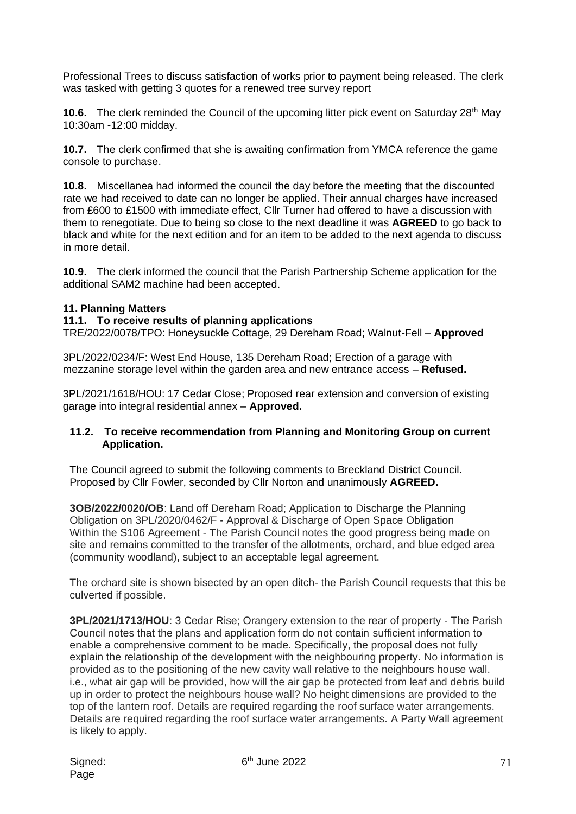Professional Trees to discuss satisfaction of works prior to payment being released. The clerk was tasked with getting 3 quotes for a renewed tree survey report

**10.6.** The clerk reminded the Council of the upcoming litter pick event on Saturday 28<sup>th</sup> May 10:30am -12:00 midday.

**10.7.** The clerk confirmed that she is awaiting confirmation from YMCA reference the game console to purchase.

**10.8.** Miscellanea had informed the council the day before the meeting that the discounted rate we had received to date can no longer be applied. Their annual charges have increased from £600 to £1500 with immediate effect, Cllr Turner had offered to have a discussion with them to renegotiate. Due to being so close to the next deadline it was **AGREED** to go back to black and white for the next edition and for an item to be added to the next agenda to discuss in more detail.

**10.9.** The clerk informed the council that the Parish Partnership Scheme application for the additional SAM2 machine had been accepted.

## **11. Planning Matters**

## **11.1. To receive results of planning applications**

TRE/2022/0078/TPO: Honeysuckle Cottage, 29 Dereham Road; Walnut-Fell – **Approved** 

3PL/2022/0234/F: West End House, 135 Dereham Road; Erection of a garage with mezzanine storage level within the garden area and new entrance access – **Refused.**

3PL/2021/1618/HOU: 17 Cedar Close; Proposed rear extension and conversion of existing garage into integral residential annex – **Approved.** 

## **11.2. To receive recommendation from Planning and Monitoring Group on current Application.**

The Council agreed to submit the following comments to Breckland District Council. Proposed by Cllr Fowler, seconded by Cllr Norton and unanimously **AGREED.**

**3OB/2022/0020/OB**: Land off Dereham Road; Application to Discharge the Planning Obligation on 3PL/2020/0462/F - Approval & Discharge of Open Space Obligation Within the S106 Agreement - The Parish Council notes the good progress being made on site and remains committed to the transfer of the allotments, orchard, and blue edged area (community woodland), subject to an acceptable legal agreement.

The orchard site is shown bisected by an open ditch- the Parish Council requests that this be culverted if possible.

**3PL/2021/1713/HOU**: 3 Cedar Rise; Orangery extension to the rear of property - The Parish Council notes that the plans and application form do not contain sufficient information to enable a comprehensive comment to be made. Specifically, the proposal does not fully explain the relationship of the development with the neighbouring property. No information is provided as to the positioning of the new cavity wall relative to the neighbours house wall. i.e., what air gap will be provided, how will the air gap be protected from leaf and debris build up in order to protect the neighbours house wall? No height dimensions are provided to the top of the lantern roof. Details are required regarding the roof surface water arrangements. Details are required regarding the roof surface water arrangements. A Party Wall agreement is likely to apply.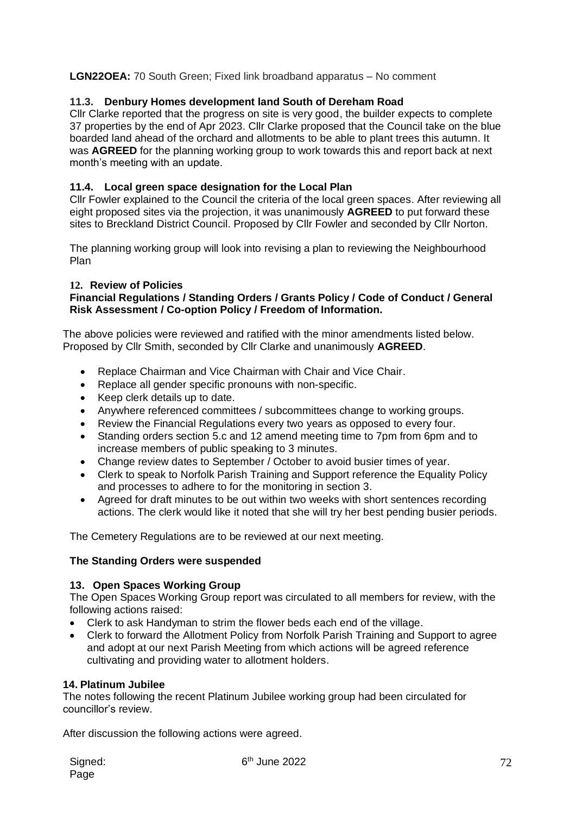# **LGN22OEA:** 70 South Green; Fixed link broadband apparatus – No comment

# **11.3. Denbury Homes development land South of Dereham Road**

Cllr Clarke reported that the progress on site is very good, the builder expects to complete 37 properties by the end of Apr 2023. Cllr Clarke proposed that the Council take on the blue boarded land ahead of the orchard and allotments to be able to plant trees this autumn. It was **AGREED** for the planning working group to work towards this and report back at next month's meeting with an update.

## **11.4. Local green space designation for the Local Plan**

Cllr Fowler explained to the Council the criteria of the local green spaces. After reviewing all eight proposed sites via the projection, it was unanimously **AGREED** to put forward these sites to Breckland District Council. Proposed by Cllr Fowler and seconded by Cllr Norton.

The planning working group will look into revising a plan to reviewing the Neighbourhood Plan

## **12. Review of Policies**

#### **Financial Regulations / Standing Orders / Grants Policy / Code of Conduct / General Risk Assessment / Co-option Policy / Freedom of Information.**

The above policies were reviewed and ratified with the minor amendments listed below. Proposed by Cllr Smith, seconded by Cllr Clarke and unanimously **AGREED**.

- Replace Chairman and Vice Chairman with Chair and Vice Chair.
- Replace all gender specific pronouns with non-specific.
- Keep clerk details up to date.
- Anywhere referenced committees / subcommittees change to working groups.
- Review the Financial Regulations every two years as opposed to every four.
- Standing orders section 5.c and 12 amend meeting time to 7pm from 6pm and to increase members of public speaking to 3 minutes.
- Change review dates to September / October to avoid busier times of year.
- Clerk to speak to Norfolk Parish Training and Support reference the Equality Policy and processes to adhere to for the monitoring in section 3.
- Agreed for draft minutes to be out within two weeks with short sentences recording actions. The clerk would like it noted that she will try her best pending busier periods.

The Cemetery Regulations are to be reviewed at our next meeting.

## **The Standing Orders were suspended**

## **13. Open Spaces Working Group**

The Open Spaces Working Group report was circulated to all members for review, with the following actions raised:

- Clerk to ask Handyman to strim the flower beds each end of the village.
- Clerk to forward the Allotment Policy from Norfolk Parish Training and Support to agree and adopt at our next Parish Meeting from which actions will be agreed reference cultivating and providing water to allotment holders.

#### **14. Platinum Jubilee**

The notes following the recent Platinum Jubilee working group had been circulated for councillor's review.

After discussion the following actions were agreed.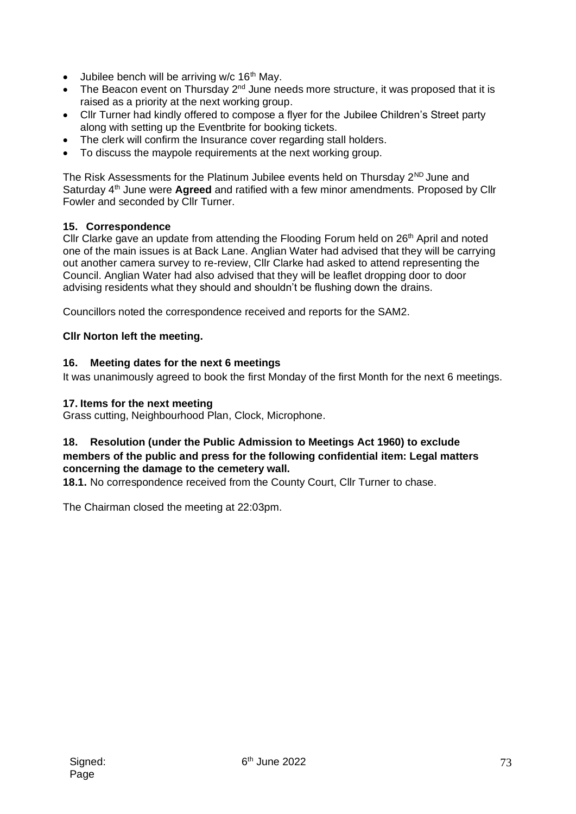- Jubilee bench will be arriving  $w/c 16<sup>th</sup>$  May.
- The Beacon event on Thursday  $2^{nd}$  June needs more structure, it was proposed that it is raised as a priority at the next working group.
- Cllr Turner had kindly offered to compose a flyer for the Jubilee Children's Street party along with setting up the Eventbrite for booking tickets.
- The clerk will confirm the Insurance cover regarding stall holders.
- To discuss the maypole requirements at the next working group.

The Risk Assessments for the Platinum Jubilee events held on Thursday 2<sup>ND</sup> June and Saturday 4<sup>th</sup> June were **Agreed** and ratified with a few minor amendments. Proposed by Cllr Fowler and seconded by Cllr Turner.

# **15. Correspondence**

Cllr Clarke gave an update from attending the Flooding Forum held on 26<sup>th</sup> April and noted one of the main issues is at Back Lane. Anglian Water had advised that they will be carrying out another camera survey to re-review, Cllr Clarke had asked to attend representing the Council. Anglian Water had also advised that they will be leaflet dropping door to door advising residents what they should and shouldn't be flushing down the drains.

Councillors noted the correspondence received and reports for the SAM2.

# **Cllr Norton left the meeting.**

# **16. Meeting dates for the next 6 meetings**

It was unanimously agreed to book the first Monday of the first Month for the next 6 meetings.

# **17. Items for the next meeting**

Grass cutting, Neighbourhood Plan, Clock, Microphone.

# **18. Resolution (under the Public Admission to Meetings Act 1960) to exclude members of the public and press for the following confidential item: Legal matters concerning the damage to the cemetery wall.**

**18.1.** No correspondence received from the County Court, Cllr Turner to chase.

The Chairman closed the meeting at 22:03pm.